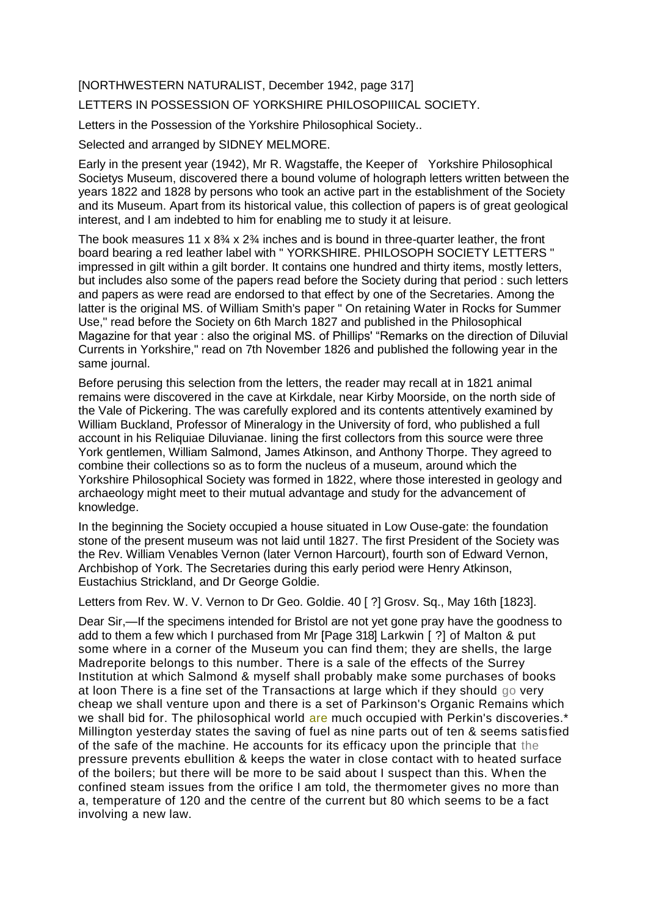## [NORTHWESTERN NATURALIST, December 1942, page 317]

## LETTERS IN POSSESSION OF YORKSHIRE PHILOSOPIIICAL SOCIETY.

Letters in the Possession of the Yorkshire Philosophical Society..

Selected and arranged by SIDNEY MELMORE.

Early in the present year (1942), Mr R. Wagstaffe, the Keeper of Yorkshire Philosophical Societys Museum, discovered there a bound volume of holograph letters written between the years 1822 and 1828 by persons who took an active part in the establishment of the Society and its Museum. Apart from its historical value, this collection of papers is of great geological interest, and I am indebted to him for enabling me to study it at leisure.

The book measures 11 x  $8\frac{3}{4}$  x  $2\frac{3}{4}$  inches and is bound in three-quarter leather, the front board bearing a red leather label with " YORKSHIRE. PHILOSOPH SOCIETY LETTERS " impressed in gilt within a gilt border. It contains one hundred and thirty items, mostly letters, but includes also some of the papers read before the Society during that period : such letters and papers as were read are endorsed to that effect by one of the Secretaries. Among the latter is the original MS. of William Smith's paper " On retaining Water in Rocks for Summer Use," read before the Society on 6th March 1827 and published in the Philosophical Magazine for that year : also the original MS. of Phillips' "Remarks on the direction of Diluvial Currents in Yorkshire," read on 7th November 1826 and published the following year in the same journal.

Before perusing this selection from the letters, the reader may recall at in 1821 animal remains were discovered in the cave at Kirkdale, near Kirby Moorside, on the north side of the Vale of Pickering. The was carefully explored and its contents attentively examined by William Buckland, Professor of Mineralogy in the University of ford, who published a full account in his Reliquiae Diluvianae. lining the first collectors from this source were three York gentlemen, William Salmond, James Atkinson, and Anthony Thorpe. They agreed to combine their collections so as to form the nucleus of a museum, around which the Yorkshire Philosophical Society was formed in 1822, where those interested in geology and archaeology might meet to their mutual advantage and study for the advancement of knowledge.

In the beginning the Society occupied a house situated in Low Ouse-gate: the foundation stone of the present museum was not laid until 1827. The first President of the Society was the Rev. William Venables Vernon (later Vernon Harcourt), fourth son of Edward Vernon, Archbishop of York. The Secretaries during this early period were Henry Atkinson, Eustachius Strickland, and Dr George Goldie.

Letters from Rev. W. V. Vernon to Dr Geo. Goldie. 40 [ ?] Grosv. Sq., May 16th [1823].

Dear Sir,—If the specimens intended for Bristol are not yet gone pray have the goodness to add to them a few which I purchased from Mr [Page 318] Larkwin [ ?] of Malton & put some where in a corner of the Museum you can find them; they are shells, the large Madreporite belongs to this number. There is a sale of the effects of the Surrey Institution at which Salmond & myself shall probably make some purchases of books at loon There is a fine set of the Transactions at large which if they should go very cheap we shall venture upon and there is a set of Parkinson's Organic Remains which we shall bid for. The philosophical world are much occupied with Perkin's discoveries.<sup>\*</sup> Millington yesterday states the saving of fuel as nine parts out of ten & seems satisfied of the safe of the machine. He accounts for its efficacy upon the principle that the pressure prevents ebullition & keeps the water in close contact with to heated surface of the boilers; but there will be more to be said about I suspect than this. When the confined steam issues from the orifice I am told, the thermometer gives no more than a, temperature of 120 and the centre of the current but 80 which seems to be a fact involving a new law.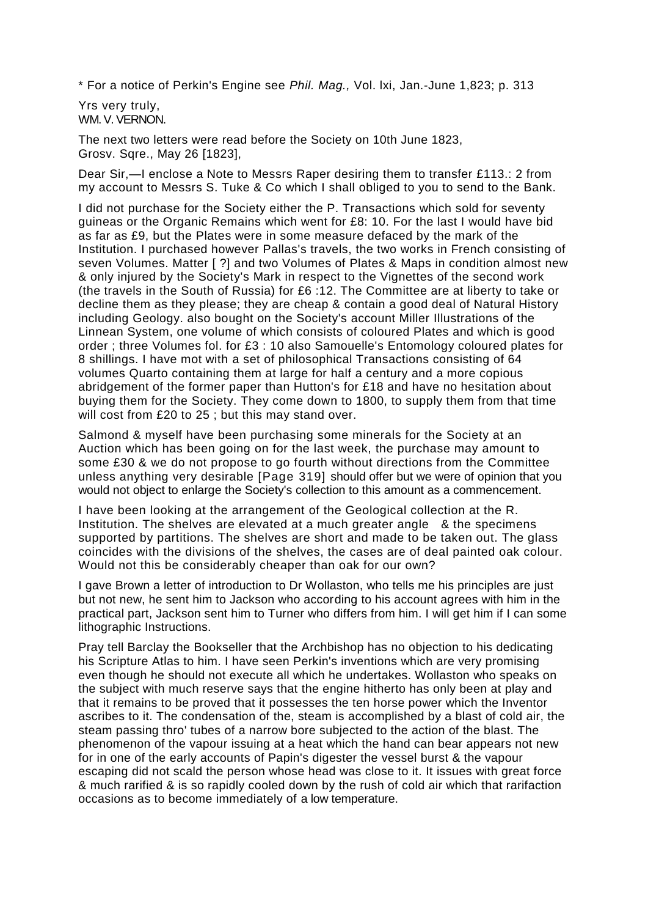\* For a notice of Perkin's Engine see *Phil. Mag.,* Vol. lxi, Jan.-June 1,823; p. 313

Yrs very truly, WM. V. VERNON.

The next two letters were read before the Society on 10th June 1823, Grosv. Sqre., May 26 [1823],

Dear Sir,—I enclose a Note to Messrs Raper desiring them to transfer £113.: 2 from my account to Messrs S. Tuke & Co which I shall obliged to you to send to the Bank.

I did not purchase for the Society either the P. Transactions which sold for seventy guineas or the Organic Remains which went for £8: 10. For the last I would have bid as far as £9, but the Plates were in some measure defaced by the mark of the Institution. I purchased however Pallas's travels, the two works in French consisting of seven Volumes. Matter [ ?] and two Volumes of Plates & Maps in condition almost new & only injured by the Society's Mark in respect to the Vignettes of the second work (the travels in the South of Russia) for £6 :12. The Committee are at liberty to take or decline them as they please; they are cheap & contain a good deal of Natural History including Geology. also bought on the Society's account Miller Illustrations of the Linnean System, one volume of which consists of coloured Plates and which is good order ; three Volumes fol. for £3 : 10 also Samouelle's Entomology coloured plates for 8 shillings. I have mot with a set of philosophical Transactions consisting of 64 volumes Quarto containing them at large for half a century and a more copious abridgement of the former paper than Hutton's for £18 and have no hesitation about buying them for the Society. They come down to 1800, to supply them from that time will cost from £20 to 25 ; but this may stand over.

Salmond & myself have been purchasing some minerals for the Society at an Auction which has been going on for the last week, the purchase may amount to some £30 & we do not propose to go fourth without directions from the Committee unless anything very desirable [Page 319] should offer but we were of opinion that you would not object to enlarge the Society's collection to this amount as a commencement.

I have been looking at the arrangement of the Geological collection at the R. Institution. The shelves are elevated at a much greater angle & the specimens supported by partitions. The shelves are short and made to be taken out. The glass coincides with the divisions of the shelves, the cases are of deal painted oak colour. Would not this be considerably cheaper than oak for our own?

I gave Brown a letter of introduction to Dr Wollaston, who tells me his principles are just but not new, he sent him to Jackson who according to his account agrees with him in the practical part, Jackson sent him to Turner who differs from him. I will get him if I can some lithographic Instructions.

Pray tell Barclay the Bookseller that the Archbishop has no objection to his dedicating his Scripture Atlas to him. I have seen Perkin's inventions which are very promising even though he should not execute all which he undertakes. Wollaston who speaks on the subject with much reserve says that the engine hitherto has only been at play and that it remains to be proved that it possesses the ten horse power which the Inventor ascribes to it. The condensation of the, steam is accomplished by a blast of cold air, the steam passing thro' tubes of a narrow bore subjected to the action of the blast. The phenomenon of the vapour issuing at a heat which the hand can bear appears not new for in one of the early accounts of Papin's digester the vessel burst & the vapour escaping did not scald the person whose head was close to it. It issues with great force & much rarified & is so rapidly cooled down by the rush of cold air which that rarifaction occasions as to become immediately of a low temperature.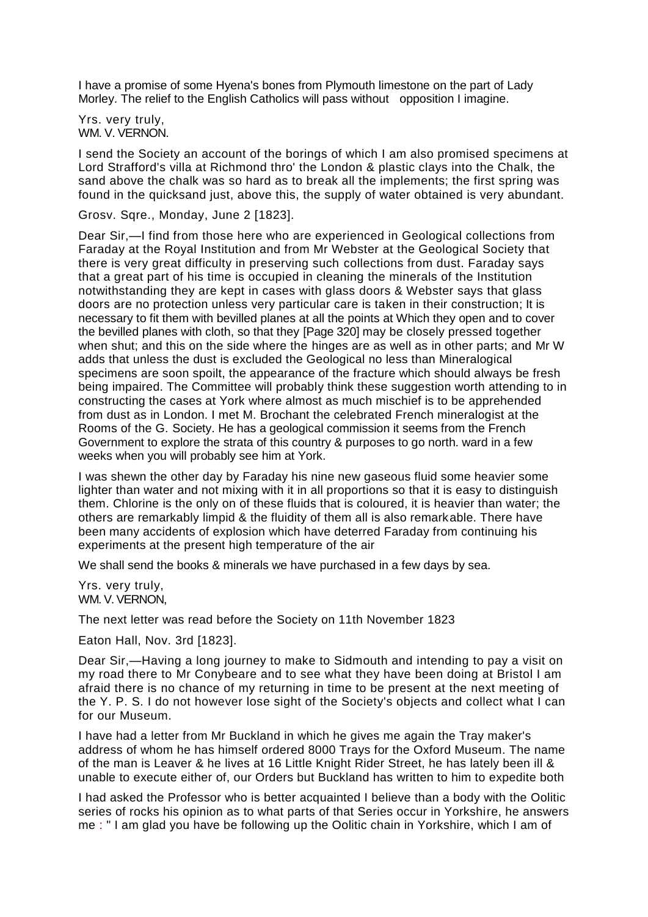I have a promise of some Hyena's bones from Plymouth limestone on the part of Lady Morley. The relief to the English Catholics will pass without opposition I imagine.

Yrs. very truly, WM. V. VERNON.

I send the Society an account of the borings of which I am also promised specimens at Lord Strafford's villa at Richmond thro' the London & plastic clays into the Chalk, the sand above the chalk was so hard as to break all the implements; the first spring was found in the quicksand just, above this, the supply of water obtained is very abundant.

Grosv. Sqre., Monday, June 2 [1823].

Dear Sir,—I find from those here who are experienced in Geological collections from Faraday at the Royal Institution and from Mr Webster at the Geological Society that there is very great difficulty in preserving such collections from dust. Faraday says that a great part of his time is occupied in cleaning the minerals of the Institution notwithstanding they are kept in cases with glass doors & Webster says that glass doors are no protection unless very particular care is taken in their construction; It is necessary to fit them with bevilled planes at all the points at Which they open and to cover the bevilled planes with cloth, so that they [Page 320] may be closely pressed together when shut; and this on the side where the hinges are as well as in other parts; and Mr W adds that unless the dust is excluded the Geological no less than Mineralogical specimens are soon spoilt, the appearance of the fracture which should always be fresh being impaired. The Committee will probably think these suggestion worth attending to in constructing the cases at York where almost as much mischief is to be apprehended from dust as in London. I met M. Brochant the celebrated French mineralogist at the Rooms of the G. Society. He has a geological commission it seems from the French Government to explore the strata of this country & purposes to go north. ward in a few weeks when you will probably see him at York.

I was shewn the other day by Faraday his nine new gaseous fluid some heavier some lighter than water and not mixing with it in all proportions so that it is easy to distinguish them. Chlorine is the only on of these fluids that is coloured, it is heavier than water; the others are remarkably limpid & the fluidity of them all is also remarkable. There have been many accidents of explosion which have deterred Faraday from continuing his experiments at the present high temperature of the air

We shall send the books & minerals we have purchased in a few days by sea.

Yrs. very truly, WM. V. VERNON,

The next letter was read before the Society on 11th November 1823

Eaton Hall, Nov. 3rd [1823].

Dear Sir,—Having a long journey to make to Sidmouth and intending to pay a visit on my road there to Mr Conybeare and to see what they have been doing at Bristol I am afraid there is no chance of my returning in time to be present at the next meeting of the Y. P. S. I do not however lose sight of the Society's objects and collect what I can for our Museum.

I have had a letter from Mr Buckland in which he gives me again the Tray maker's address of whom he has himself ordered 8000 Trays for the Oxford Museum. The name of the man is Leaver & he lives at 16 Little Knight Rider Street, he has lately been ill & unable to execute either of, our Orders but Buckland has written to him to expedite both

I had asked the Professor who is better acquainted I believe than a body with the Oolitic series of rocks his opinion as to what parts of that Series occur in Yorkshire, he answers me : " I am glad you have be following up the Oolitic chain in Yorkshire, which I am of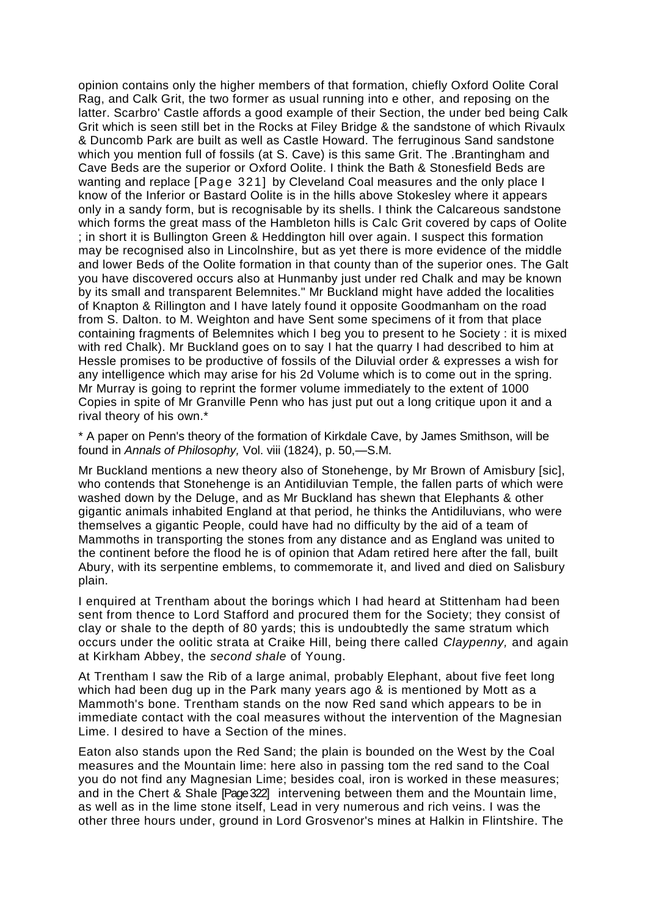opinion contains only the higher members of that formation, chiefly Oxford Oolite Coral Rag, and Calk Grit, the two former as usual running into e other, and reposing on the latter. Scarbro' Castle affords a good example of their Section, the under bed being Calk Grit which is seen still bet in the Rocks at Filey Bridge & the sandstone of which Rivaulx & Duncomb Park are built as well as Castle Howard. The ferruginous Sand sandstone which you mention full of fossils (at S. Cave) is this same Grit. The .Brantingham and Cave Beds are the superior or Oxford Oolite. I think the Bath & Stonesfield Beds are wanting and replace [Page 321] by Cleveland Coal measures and the only place I know of the Inferior or Bastard Oolite is in the hills above Stokesley where it appears only in a sandy form, but is recognisable by its shells. I think the Calcareous sandstone which forms the great mass of the Hambleton hills is Calc Grit covered by caps of Oolite ; in short it is Bullington Green & Heddington hill over again. I suspect this formation may be recognised also in Lincolnshire, but as yet there is more evidence of the middle and lower Beds of the Oolite formation in that county than of the superior ones. The Galt you have discovered occurs also at Hunmanby just under red Chalk and may be known by its small and transparent Belemnites." Mr Buckland might have added the localities of Knapton & Rillington and I have lately found it opposite Goodmanham on the road from S. Dalton. to M. Weighton and have Sent some specimens of it from that place containing fragments of Belemnites which I beg you to present to he Society : it is mixed with red Chalk). Mr Buckland goes on to say I hat the quarry I had described to him at Hessle promises to be productive of fossils of the Diluvial order & expresses a wish for any intelligence which may arise for his 2d Volume which is to come out in the spring. Mr Murray is going to reprint the former volume immediately to the extent of 1000 Copies in spite of Mr Granville Penn who has just put out a long critique upon it and a rival theory of his own.\*

\* A paper on Penn's theory of the formation of Kirkdale Cave, by James Smithson, will be found in *Annals of Philosophy,* Vol. viii (1824), p. 50,—S.M.

Mr Buckland mentions a new theory also of Stonehenge, by Mr Brown of Amisbury [sic], who contends that Stonehenge is an Antidiluvian Temple, the fallen parts of which were washed down by the Deluge, and as Mr Buckland has shewn that Elephants & other gigantic animals inhabited England at that period, he thinks the Antidiluvians, who were themselves a gigantic People, could have had no difficulty by the aid of a team of Mammoths in transporting the stones from any distance and as England was united to the continent before the flood he is of opinion that Adam retired here after the fall, built Abury, with its serpentine emblems, to commemorate it, and lived and died on Salisbury plain.

I enquired at Trentham about the borings which I had heard at Stittenham had been sent from thence to Lord Stafford and procured them for the Society; they consist of clay or shale to the depth of 80 yards; this is undoubtedly the same stratum which occurs under the oolitic strata at Craike Hill, being there called *Claypenny,* and again at Kirkham Abbey, the *second shale* of Young.

At Trentham I saw the Rib of a large animal, probably Elephant, about five feet long which had been dug up in the Park many years ago & is mentioned by Mott as a Mammoth's bone. Trentham stands on the now Red sand which appears to be in immediate contact with the coal measures without the intervention of the Magnesian Lime. I desired to have a Section of the mines.

Eaton also stands upon the Red Sand; the plain is bounded on the West by the Coal measures and the Mountain lime: here also in passing tom the red sand to the Coal you do not find any Magnesian Lime; besides coal, iron is worked in these measures; and in the Chert & Shale [Page 322] intervening between them and the Mountain lime, as well as in the lime stone itself, Lead in very numerous and rich veins. I was the other three hours under, ground in Lord Grosvenor's mines at Halkin in Flintshire. The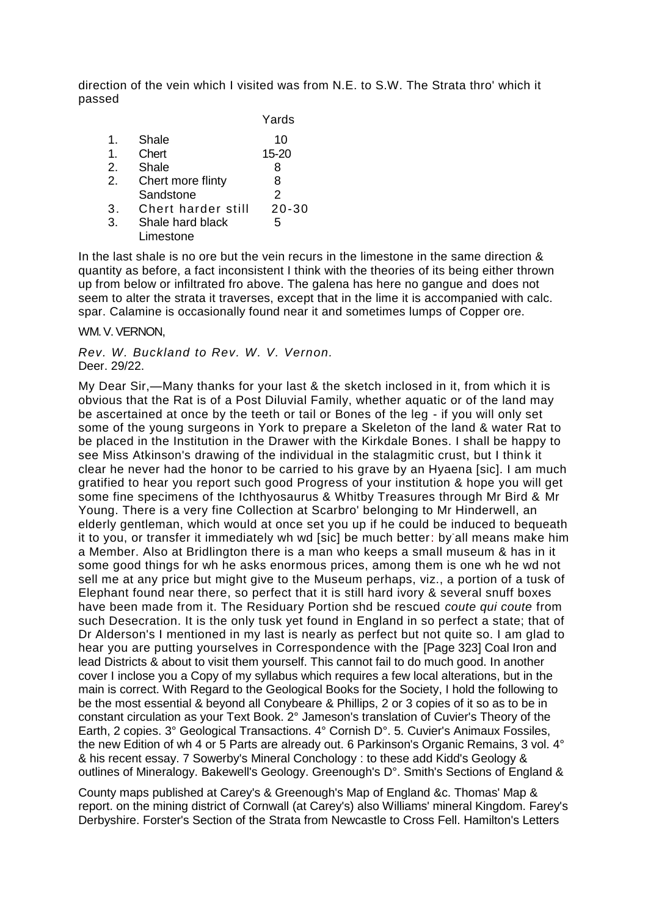direction of the vein which I visited was from N.E. to S.W. The Strata thro' which it passed

|    |                    | Yards     |
|----|--------------------|-----------|
| 1. | Shale              | 10        |
| 1. | Chert              | 15-20     |
| 2. | Shale              | 8         |
| 2. | Chert more flinty  | 8         |
|    | Sandstone          | 2         |
| 3. | Chert harder still | $20 - 30$ |
| 3. | Shale hard black   | 5         |
|    | Limestone          |           |

In the last shale is no ore but the vein recurs in the limestone in the same direction & quantity as before, a fact inconsistent I think with the theories of its being either thrown up from below or infiltrated fro above. The galena has here no gangue and does not seem to alter the strata it traverses, except that in the lime it is accompanied with calc. spar. Calamine is occasionally found near it and sometimes lumps of Copper ore.

WM. V. VERNON.

*Rev. W. Buckland to Rev. W. V. Vernon.* Deer. 29/22.

My Dear Sir,—Many thanks for your last & the sketch inclosed in it, from which it is obvious that the Rat is of a Post Diluvial Family, whether aquatic or of the land may be ascertained at once by the teeth or tail or Bones of the leg - if you will only set some of the young surgeons in York to prepare a Skeleton of the land & water Rat to be placed in the Institution in the Drawer with the Kirkdale Bones. I shall be happy to see Miss Atkinson's drawing of the individual in the stalagmitic crust, but I think it clear he never had the honor to be carried to his grave by an Hyaena [sic]. I am much gratified to hear you report such good Progress of your institution & hope you will get some fine specimens of the Ichthyosaurus & Whitby Treasures through Mr Bird & Mr Young. There is a very fine Collection at Scarbro' belonging to Mr Hinderwell, an elderly gentleman, which would at once set you up if he could be induced to bequeath it to you, or transfer it immediately wh wd [sic] be much better: by-all means make him a Member. Also at Bridlington there is a man who keeps a small museum & has in it some good things for wh he asks enormous prices, among them is one wh he wd not sell me at any price but might give to the Museum perhaps, viz., a portion of a tusk of Elephant found near there, so perfect that it is still hard ivory & several snuff boxes have been made from it. The Residuary Portion shd be rescued *coute qui coute* from such Desecration. It is the only tusk yet found in England in so perfect a state; that of Dr Alderson's I mentioned in my last is nearly as perfect but not quite so. I am glad to hear you are putting yourselves in Correspondence with the [Page 323] Coal Iron and lead Districts & about to visit them yourself. This cannot fail to do much good. In another cover I inclose you a Copy of my syllabus which requires a few local alterations, but in the main is correct. With Regard to the Geological Books for the Society, I hold the following to be the most essential & beyond all Conybeare & Phillips, 2 or 3 copies of it so as to be in constant circulation as your Text Book. 2° Jameson's translation of Cuvier's Theory of the Earth, 2 copies. 3° Geological Transactions. 4° Cornish D°. 5. Cuvier's Animaux Fossiles, the new Edition of wh 4 or 5 Parts are already out. 6 Parkinson's Organic Remains, 3 vol. 4° & his recent essay. 7 Sowerby's Mineral Conchology : to these add Kidd's Geology & outlines of Mineralogy. Bakewell's Geology. Greenough's D°. Smith's Sections of England &

County maps published at Carey's & Greenough's Map of England &c. Thomas' Map & report. on the mining district of Cornwall (at Carey's) also Williams' mineral Kingdom. Farey's Derbyshire. Forster's Section of the Strata from Newcastle to Cross Fell. Hamilton's Letters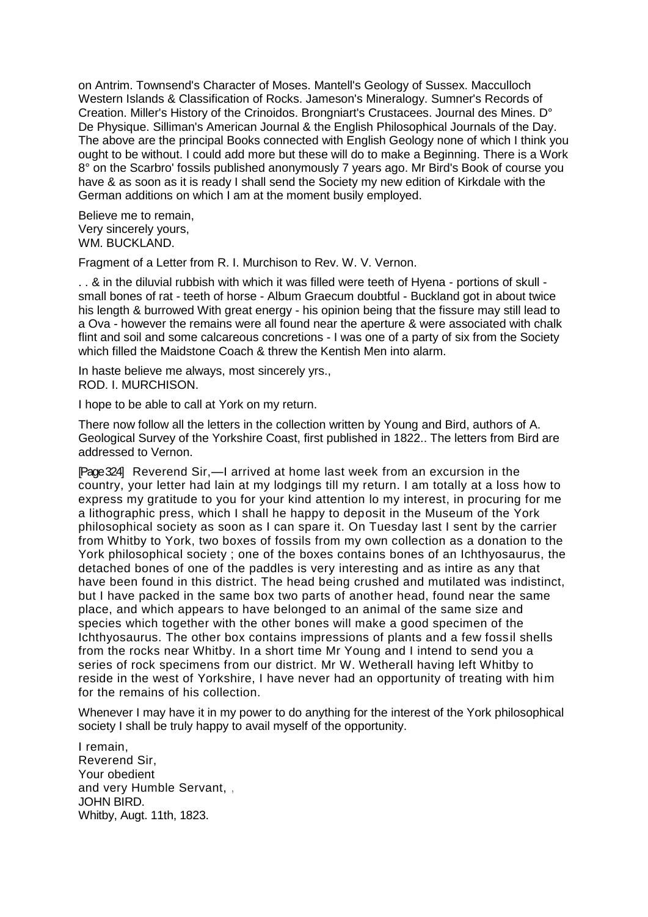on Antrim. Townsend's Character of Moses. Mantell's Geology of Sussex. Macculloch Western Islands & Classification of Rocks. Jameson's Mineralogy. Sumner's Records of Creation. Miller's History of the Crinoidos. Brongniart's Crustacees. Journal des Mines. D° De Physique. Silliman's American Journal & the English Philosophical Journals of the Day. The above are the principal Books connected with English Geology none of which I think you ought to be without. I could add more but these will do to make a Beginning. There is a Work 8° on the Scarbro' fossils published anonymously 7 years ago. Mr Bird's Book of course you have & as soon as it is ready I shall send the Society my new edition of Kirkdale with the German additions on which I am at the moment busily employed.

Believe me to remain, Very sincerely yours, WM. BUCKLAND.

Fragment of a Letter from R. I. Murchison to Rev. W. V. Vernon.

. . & in the diluvial rubbish with which it was filled were teeth of Hyena - portions of skull small bones of rat - teeth of horse - Album Graecum doubtful - Buckland got in about twice his length & burrowed With great energy - his opinion being that the fissure may still lead to a Ova - however the remains were all found near the aperture & were associated with chalk flint and soil and some calcareous concretions - I was one of a party of six from the Society which filled the Maidstone Coach & threw the Kentish Men into alarm.

In haste believe me always, most sincerely yrs., ROD. I. MURCHISON.

I hope to be able to call at York on my return.

There now follow all the letters in the collection written by Young and Bird, authors of A. Geological Survey of the Yorkshire Coast, first published in 1822.. The letters from Bird are addressed to Vernon.

[Page 324] Reverend Sir,—I arrived at home last week from an excursion in the country, your letter had lain at my lodgings till my return. I am totally at a loss how to express my gratitude to you for your kind attention lo my interest, in procuring for me a lithographic press, which I shall he happy to deposit in the Museum of the York philosophical society as soon as I can spare it. On Tuesday last I sent by the carrier from Whitby to York, two boxes of fossils from my own collection as a donation to the York philosophical society ; one of the boxes contains bones of an Ichthyosaurus, the detached bones of one of the paddles is very interesting and as intire as any that have been found in this district. The head being crushed and mutilated was indistinct, but I have packed in the same box two parts of another head, found near the same place, and which appears to have belonged to an animal of the same size and species which together with the other bones will make a good specimen of the Ichthyosaurus. The other box contains impressions of plants and a few fossil shells from the rocks near Whitby. In a short time Mr Young and I intend to send you a series of rock specimens from our district. Mr W. Wetherall having left Whitby to reside in the west of Yorkshire, I have never had an opportunity of treating with him for the remains of his collection.

Whenever I may have it in my power to do anything for the interest of the York philosophical society I shall be truly happy to avail myself of the opportunity.

I remain, Reverend Sir, Your obedient and very Humble Servant, , JOHN BIRD. Whitby, Augt. 11th, 1823.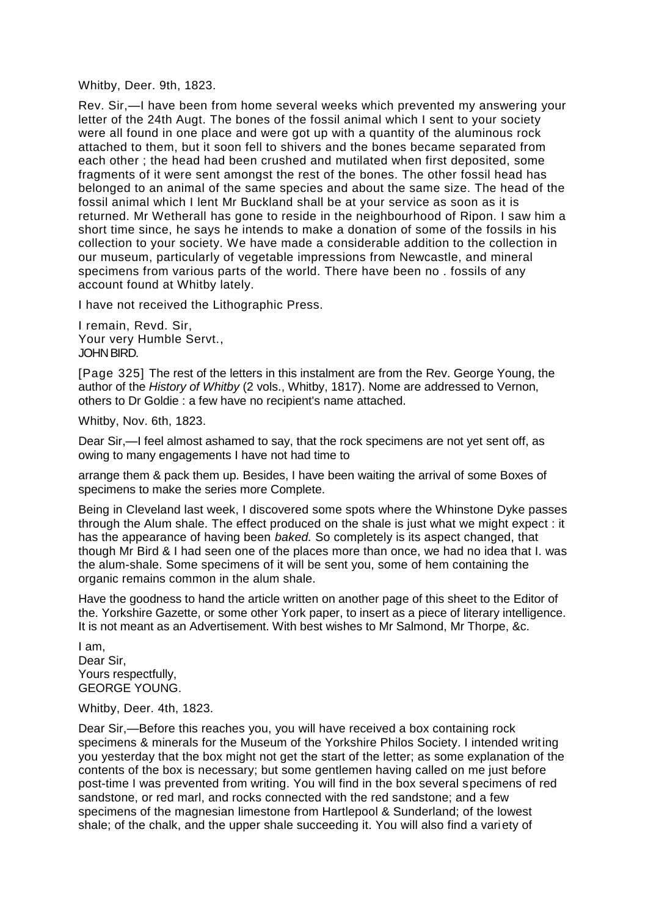Whitby, Deer. 9th, 1823.

Rev. Sir,—I have been from home several weeks which prevented my answering your letter of the 24th Augt. The bones of the fossil animal which I sent to your society were all found in one place and were got up with a quantity of the aluminous rock attached to them, but it soon fell to shivers and the bones became separated from each other ; the head had been crushed and mutilated when first deposited, some fragments of it were sent amongst the rest of the bones. The other fossil head has belonged to an animal of the same species and about the same size. The head of the fossil animal which I lent Mr Buckland shall be at your service as soon as it is returned. Mr Wetherall has gone to reside in the neighbourhood of Ripon. I saw him a short time since, he says he intends to make a donation of some of the fossils in his collection to your society. We have made a considerable addition to the collection in our museum, particularly of vegetable impressions from Newcastle, and mineral specimens from various parts of the world. There have been no . fossils of any account found at Whitby lately.

I have not received the Lithographic Press.

I remain, Revd. Sir, Your very Humble Servt., JOHN BIRD.

[Page 325] The rest of the letters in this instalment are from the Rev. George Young, the author of the *History of Whitby* (2 vols., Whitby, 1817). Nome are addressed to Vernon, others to Dr Goldie : a few have no recipient's name attached.

Whitby, Nov. 6th, 1823.

Dear Sir,—I feel almost ashamed to say, that the rock specimens are not yet sent off, as owing to many engagements I have not had time to

arrange them & pack them up. Besides, I have been waiting the arrival of some Boxes of specimens to make the series more Complete.

Being in Cleveland last week, I discovered some spots where the Whinstone Dyke passes through the Alum shale. The effect produced on the shale is just what we might expect : it has the appearance of having been *baked.* So completely is its aspect changed, that though Mr Bird & I had seen one of the places more than once, we had no idea that I. was the alum-shale. Some specimens of it will be sent you, some of hem containing the organic remains common in the alum shale.

Have the goodness to hand the article written on another page of this sheet to the Editor of the. Yorkshire Gazette, or some other York paper, to insert as a piece of literary intelligence. It is not meant as an Advertisement. With best wishes to Mr Salmond, Mr Thorpe, &c.

I am, Dear Sir, Yours respectfully. GEORGE YOUNG.

Whitby, Deer. 4th, 1823.

Dear Sir,—Before this reaches you, you will have received a box containing rock specimens & minerals for the Museum of the Yorkshire Philos Society. I intended writing you yesterday that the box might not get the start of the letter; as some explanation of the contents of the box is necessary; but some gentlemen having called on me just before post-time I was prevented from writing. You will find in the box several specimens of red sandstone, or red marl, and rocks connected with the red sandstone; and a few specimens of the magnesian limestone from Hartlepool & Sunderland; of the lowest shale; of the chalk, and the upper shale succeeding it. You will also find a variety of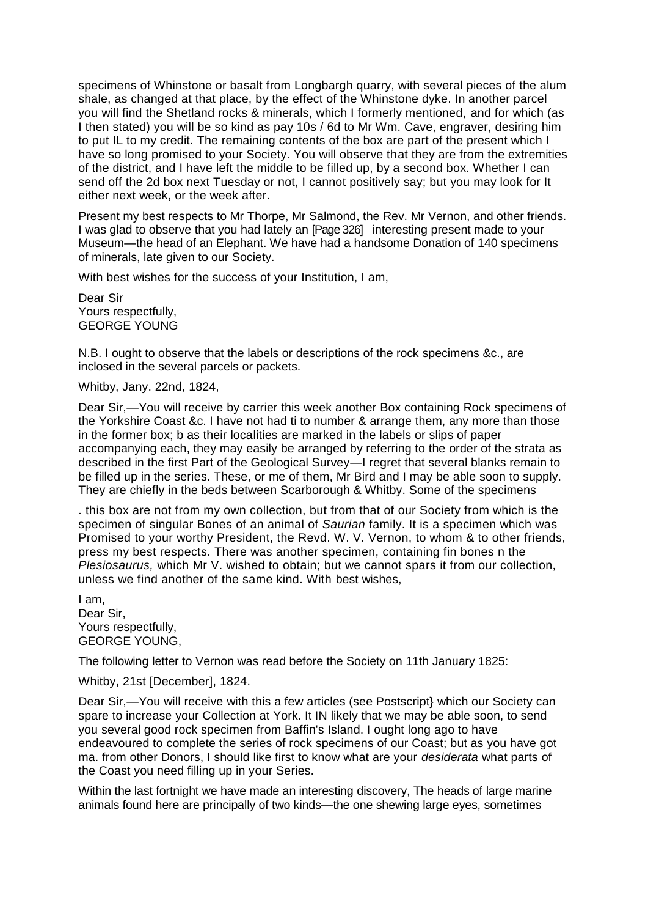specimens of Whinstone or basalt from Longbargh quarry, with several pieces of the alum shale, as changed at that place, by the effect of the Whinstone dyke. In another parcel you will find the Shetland rocks & minerals, which I formerly mentioned, and for which (as I then stated) you will be so kind as pay 10s / 6d to Mr Wm. Cave, engraver, desiring him to put IL to my credit. The remaining contents of the box are part of the present which I have so long promised to your Society. You will observe that they are from the extremities of the district, and I have left the middle to be filled up, by a second box. Whether I can send off the 2d box next Tuesday or not, I cannot positively say; but you may look for It either next week, or the week after.

Present my best respects to Mr Thorpe, Mr Salmond, the Rev. Mr Vernon, and other friends. I was glad to observe that you had lately an [Page 326] interesting present made to your Museum—the head of an Elephant. We have had a handsome Donation of 140 specimens of minerals, late given to our Society.

With best wishes for the success of your Institution, I am,

Dear Sir Yours respectfully, GEORGE YOUNG

N.B. I ought to observe that the labels or descriptions of the rock specimens &c., are inclosed in the several parcels or packets.

Whitby, Jany. 22nd, 1824,

Dear Sir,—You will receive by carrier this week another Box containing Rock specimens of the Yorkshire Coast &c. I have not had ti to number & arrange them, any more than those in the former box; b as their localities are marked in the labels or slips of paper accompanying each, they may easily be arranged by referring to the order of the strata as described in the first Part of the Geological Survey—I regret that several blanks remain to be filled up in the series. These, or me of them, Mr Bird and I may be able soon to supply. They are chiefly in the beds between Scarborough & Whitby. Some of the specimens

. this box are not from my own collection, but from that of our Society from which is the specimen of singular Bones of an animal of *Saurian* family. It is a specimen which was Promised to your worthy President, the Revd. W. V. Vernon, to whom & to other friends, press my best respects. There was another specimen, containing fin bones n the *Plesiosaurus,* which Mr V. wished to obtain; but we cannot spars it from our collection, unless we find another of the same kind. With best wishes,

I am, Dear Sir, Yours respectfully, GEORGE YOUNG,

The following letter to Vernon was read before the Society on 11th January 1825:

Whitby, 21st [December], 1824.

Dear Sir,—You will receive with this a few articles (see Postscript} which our Society can spare to increase your Collection at York. It IN likely that we may be able soon, to send you several good rock specimen from Baffin's Island. I ought long ago to have endeavoured to complete the series of rock specimens of our Coast; but as you have got ma. from other Donors, I should like first to know what are your *desiderata* what parts of the Coast you need filling up in your Series.

Within the last fortnight we have made an interesting discovery, The heads of large marine animals found here are principally of two kinds—the one shewing large eyes, sometimes